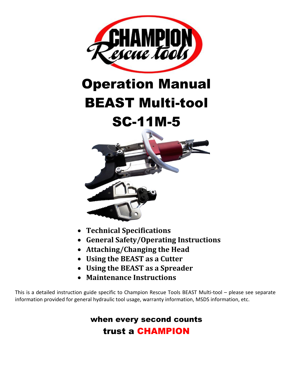

# Operation Manual

## BEAST Multi-tool

### SC-11M-5



- **Technical Specifications**
- **General Safety/Operating Instructions**
- **Attaching/Changing the Head**
- **Using the BEAST as a Cutter**
- **Using the BEAST as a Spreader**
- **Maintenance Instructions**

This is a detailed instruction guide specific to Champion Rescue Tools BEAST Multi-tool – please see separate information provided for general hydraulic tool usage, warranty information, MSDS information, etc.

#### when every second counts trust a CHAMPION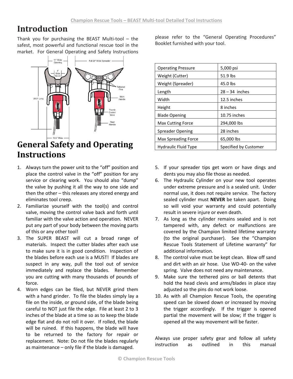#### **Introduction**

Thank you for purchasing the BEAST Multi-tool – the safest, most powerful and functional rescue tool in the market. For General Operating and Safety Instructions



#### **General Safety and Operating Instructions**

- 1. Always turn the power unit to the "off" position and place the control valve in the "off" position for any service or clearing work. You should also "dump" the valve by pushing it all the way to one side and then the other – this releases any stored energy and eliminates tool creep.
- 2. Familiarize yourself with the tool(s) and control valve, moving the control valve back and forth until familiar with the valve action and operation. NEVER put any part of your body between the moving parts of this or any other tool!
- 3. The SUPER BEAST will cut a broad range of materials. Inspect the cutter blades after each use to make sure it is in good condition. Inspection of the blades before each use is a MUST! If blades are suspect in any way, pull the tool out of service immediately and replace the blades. Remember you are cutting with many thousands of pounds of force.
- 4. Worn edges can be filed, but NEVER grind them with a hand grinder. To file the blades simply lay a file on the inside, or ground side, of the blade being careful to NOT just file the edge. File at least 2 to 3 inches of the blade at a time so as to keep the blade edge flat and do not roll it over. If rolled, the blade will be ruined. If this happens, the blade will have to be returned to the factory for repair or replacement. Note: Do not file the blades regularly as maintenance – only file if the blade is damaged.

please refer to the "General Operating Procedures" Booklet furnished with your tool.

| <b>Operating Pressure</b>   | 5,000 psi             |
|-----------------------------|-----------------------|
| Weight (Cutter)             | 51.9 lbs              |
| Weight (Spreader)           | 45.0 lbs              |
| Length                      | $28 - 34$ inches      |
| Width                       | 12.5 inches           |
| Height                      | 8 inches              |
| <b>Blade Opening</b>        | 10.75 inches          |
| <b>Max Cutting Force</b>    | 294,000 lbs           |
| Spreader Opening            | 28 inches             |
| <b>Max Spreading Force</b>  | 65,000 lbs            |
| <b>Hydraulic Fluid Type</b> | Specified by Customer |

- 5. If your spreader tips get worn or have dings and dents you may also file those as needed.
- 6. The Hydraulic Cylinder on your new tool operates under extreme pressure and is a sealed unit. Under normal use, it does not require service. The factory sealed cylinder must **NEVER** be taken apart. Doing so will void your warranty and could potentially result in severe injure or even death.
- 7. As long as the cylinder remains sealed and is not tampered with, any defect or malfunctions are covered by the Champion limited lifetime warranty (to the original purchaser). See the "Champion Rescue Tools Statement of Lifetime warranty" for additional information.
- 8. The control valve must be kept clean. Blow off sand and dirt with an air hose. Use WD-40- on the valve spring. Valve does not need any maintenance.
- 9. Make sure the tethered pins or ball detents that hold the head clevis and arms/blades in place stay adjusted so the pins do not work loose.
- 10. As with all Champion Rescue Tools, the operating speed can be slowed down or increased by moving the trigger accordingly. If the trigger is opened partial the movement will be slow; If the trigger is opened all the way movement will be faster.

Always use proper safety gear and follow all safety instruction as outlined in this manual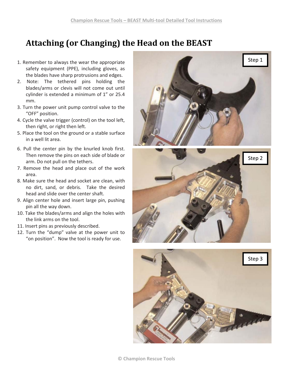#### **Attaching (or Changing) the Head on the BEAST**

- 1. Remember to always the wear the appropriate safety equipment (PPE), including gloves, as the blades have sharp protrusions and edges.
- 2. Note: The tethered pins holding the blades/arms or clevis will not come out until cylinder is extended a minimum of 1" or 25.4 mm.
- 3. Turn the power unit pump control valve to the "OFF" position.
- 4. Cycle the valve trigger (control) on the tool left, then right, or right then left.
- 5. Place the tool on the ground or a stable surface in a well lit area.
- 6. Pull the center pin by the knurled knob first. Then remove the pins on each side of blade or arm. Do not pull on the tethers.
- 7. Remove the head and place out of the work area.
- 8. Make sure the head and socket are clean, with no dirt, sand, or debris. Take the desired head and slide over the center shaft.
- 9. Align center hole and insert large pin, pushing pin all the way down.
- 10. Take the blades/arms and align the holes with the link arms on the tool.
- 11. Insert pins as previously described.
- 12. Turn the "dump" valve at the power unit to "on position". Now the tool is ready for use.





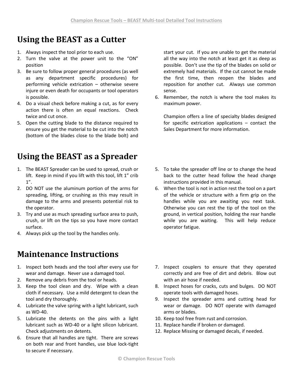#### **Using the BEAST as a Cutter**

- 1. Always inspect the tool prior to each use.
- 2. Turn the valve at the power unit to the "ON" position
- 3. Be sure to follow proper general procedures (as well as any department specific procedures) for performing vehicle extrication – otherwise severe injure or even death for occupants or tool operators is possible.
- 4. Do a visual check before making a cut, as for every action there is often an equal reactions. Check twice and cut once.
- 5. Open the cutting blade to the distance required to ensure you get the material to be cut into the notch (bottom of the blades close to the blade bolt) and

### **Using the BEAST as a Spreader**

- 1. The BEAST Spreader can be used to spread, crush or lift. Keep in mind if you lift with this tool, lift 1" crib 1".
- 2. DO NOT use the aluminum portion of the arms for spreading, lifting, or crushing as this may result in damage to the arms and presents potential risk to the operator.
- 3. Try and use as much spreading surface area to push, crush, or lift on the tips so you have more contact surface.
- 4. Always pick up the tool by the handles only.

#### **Maintenance Instructions**

- 1. Inspect both heads and the tool after every use for wear and damage. Never use a damaged tool.
- 2. Remove any debris from the tool or heads.
- 3. Keep the tool clean and dry. Wipe with a clean cloth if necessary. Use a mild detergent to clean the tool and dry thoroughly.
- 4. Lubricate the valve spring with a light lubricant, such as WD-40.
- 5. Lubricate the detents on the pins with a light lubricant such as WD-40 or a light silicon lubricant. Check adjustments on detents.
- 6. Ensure that all handles are tight. There are screws on both rear and front handles, use blue lock-tight to secure if necessary.

start your cut. If you are unable to get the material all the way into the notch at least get it as deep as possible. Don't use the tip of the blades on solid or extremely had materials. If the cut cannot be made the first time, then reopen the blades and reposition for another cut. Always use common sense.

6. Remember, the notch is where the tool makes its maximum power.

Champion offers a line of specialty blades designed for specific extrication applications – contact the Sales Department for more information.

- 5. To take the spreader off line or to change the head back to the cutter head follow the head change instructions provided in this manual.
- 6. When the tool is not in action rest the tool on a part of the vehicle or structure with a firm grip on the handles while you are awaiting you next task. Otherwise you can rest the tip of the tool on the ground, in vertical position, holding the rear handle while you are waiting. This will help reduce operator fatigue.
- 7. Inspect couplers to ensure that they operated correctly and are free of dirt and debris. Blow out with an air hose if needed.
- 8. Inspect hoses for cracks, cuts and bulges. DO NOT operate tools with damaged hoses.
- 9. Inspect the spreader arms and cutting head for wear or damage. DO NOT operate with damaged arms or blades.
- 10. Keep tool free from rust and corrosion.
- 11. Replace handle if broken or damaged.
- 12. Replace Missing or damaged decals, if needed.